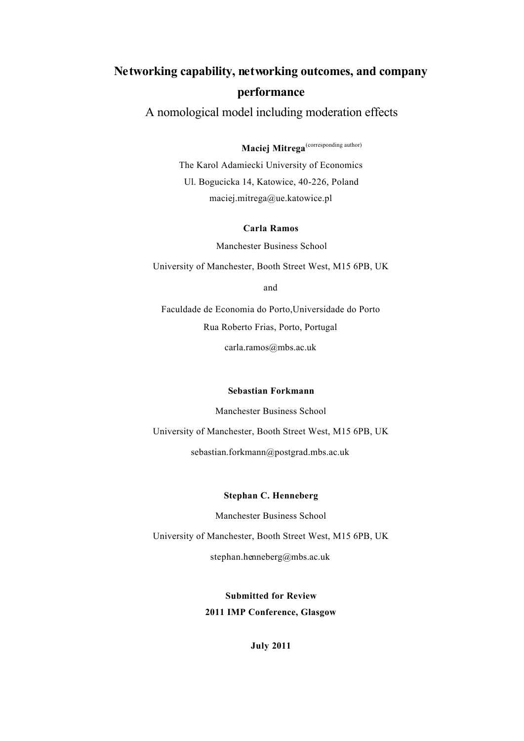# **Networking capability, networking outcomes, and company performance**

A nomological model including moderation effects

**Maciej Mitrega**<sup>(corresponding author)</sup>

The Karol Adamiecki University of Economics Ul. Bogucicka 14, Katowice, 40-226, Poland maciej.mitrega@ue.katowice.pl

#### **Carla Ramos**

Manchester Business School

University of Manchester, Booth Street West, M15 6PB, UK

and

Faculdade de Economia do Porto,Universidade do Porto Rua Roberto Frias, Porto, Portugal carla.ramos@mbs.ac.uk

#### **Sebastian Forkmann**

Manchester Business School

University of Manchester, Booth Street West, M15 6PB, UK

sebastian.forkmann@postgrad.mbs.ac.uk

#### **Stephan C. Henneberg**

Manchester Business School

University of Manchester, Booth Street West, M15 6PB, UK

stephan.henneberg@mbs.ac.uk

**Submitted for Review 2011 IMP Conference, Glasgow**

**July 2011**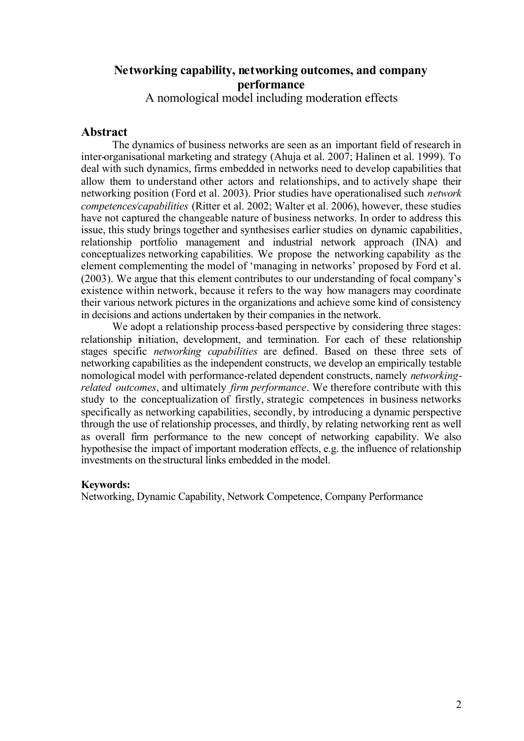## **Networking capability, networking outcomes, and company performance**

A nomological model including moderation effects

## **Abstract**

The dynamics of business networks are seen as an important field of research in inter-organisational marketing and strategy (Ahuja et al. 2007; Halinen et al. 1999). To deal with such dynamics, firms embedded in networks need to develop capabilities that allow them to understand other actors and relationships, and to actively shape their networking position (Ford et al. 2003). Prior studies have operationalised such *network competences/capabilities* (Ritter et al. 2002; Walter et al. 2006), however, these studies have not captured the changeable nature of business networks. In order to address this issue, this study brings together and synthesises earlier studies on dynamic capabilities, relationship portfolio management and industrial network approach (INA) and conceptualizes networking capabilities. We propose the networking capability as the element complementing the model of 'managing in networks' proposed by Ford et al. (2003). We argue that this element contributes to our understanding of focal company's existence within network, because it refers to the way how managers may coordinate their various network pictures in the organizations and achieve some kind of consistency in decisions and actions undertaken by their companies in the network.

We adopt a relationship process-based perspective by considering three stages: relationship initiation, development, and termination. For each of these relationship stages specific *networking capabilities* are defined. Based on these three sets of networking capabilities as the independent constructs, we develop an empirically testable nomological model with performance-related dependent constructs, namely *networkingrelated outcomes*, and ultimately *firm performance*. We therefore contribute with this study to the conceptualization of firstly, strategic competences in business networks specifically as networking capabilities, secondly, by introducing a dynamic perspective through the use of relationship processes, and thirdly, by relating networking rent as well as overall firm performance to the new concept of networking capability. We also hypothesise the impact of important moderation effects, e.g. the influence of relationship investments on the structural links embedded in the model.

#### **Keywords:**

Networking, Dynamic Capability, Network Competence, Company Performance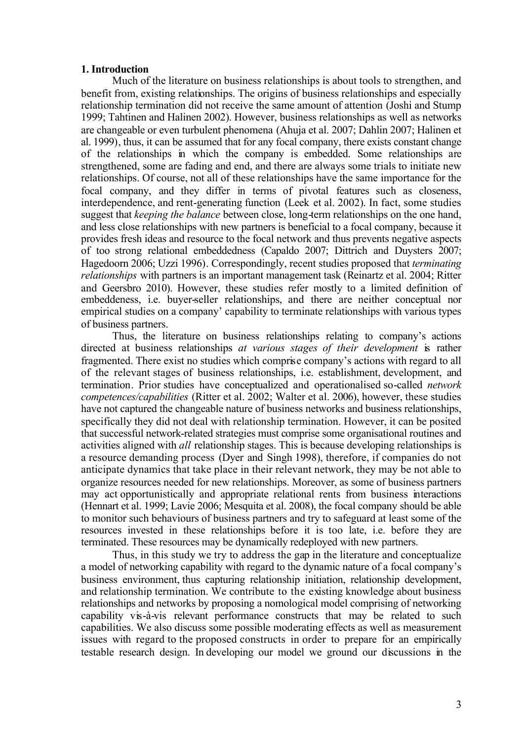#### **1. Introduction**

Much of the literature on business relationships is about tools to strengthen, and benefit from, existing relationships. The origins of business relationships and especially relationship termination did not receive the same amount of attention (Joshi and Stump 1999; Tahtinen and Halinen 2002). However, business relationships as well as networks are changeable or even turbulent phenomena (Ahuja et al. 2007; Dahlin 2007; Halinen et al. 1999), thus, it can be assumed that for any focal company, there exists constant change of the relationships in which the company is embedded. Some relationships are strengthened, some are fading and end, and there are always some trials to initiate new relationships. Of course, not all of these relationships have the same importance for the focal company, and they differ in terms of pivotal features such as closeness, interdependence, and rent-generating function (Leek et al. 2002). In fact, some studies suggest that *keeping the balance* between close, long-term relationships on the one hand, and less close relationships with new partners is beneficial to a focal company, because it provides fresh ideas and resource to the focal network and thus prevents negative aspects of too strong relational embeddedness (Capaldo 2007; Dittrich and Duysters 2007; Hagedoorn 2006; Uzzi 1996). Correspondingly, recent studies proposed that *terminating relationships* with partners is an important management task (Reinartz et al. 2004; Ritter and Geersbro 2010). However, these studies refer mostly to a limited definition of embeddeness, i.e. buyer-seller relationships, and there are neither conceptual nor empirical studies on a company' capability to terminate relationships with various types of business partners.

Thus, the literature on business relationships relating to company's actions directed at business relationships *at various stages of their development* is rather fragmented. There exist no studies which comprise company's actions with regard to all of the relevant stages of business relationships, i.e. establishment, development, and termination. Prior studies have conceptualized and operationalised so-called *network competences/capabilities* (Ritter et al. 2002; Walter et al. 2006), however, these studies have not captured the changeable nature of business networks and business relationships, specifically they did not deal with relationship termination. However, it can be posited that successful network-related strategies must comprise some organisational routines and activities aligned with *all* relationship stages. This is because developing relationships is a resource demanding process (Dyer and Singh 1998), therefore, if companies do not anticipate dynamics that take place in their relevant network, they may be not able to organize resources needed for new relationships. Moreover, as some of business partners may act opportunistically and appropriate relational rents from business interactions (Hennart et al. 1999; Lavie 2006; Mesquita et al. 2008), the focal company should be able to monitor such behaviours of business partners and try to safeguard at least some of the resources invested in these relationships before it is too late, i.e. before they are terminated. These resources may be dynamically redeployed with new partners.

Thus, in this study we try to address the gap in the literature and conceptualize a model of networking capability with regard to the dynamic nature of a focal company's business environment, thus capturing relationship initiation, relationship development, and relationship termination. We contribute to the existing knowledge about business relationships and networks by proposing a nomological model comprising of networking capability vis-à-vis relevant performance constructs that may be related to such capabilities. We also discuss some possible moderating effects as well as measurement issues with regard to the proposed constructs in order to prepare for an empirically testable research design. In developing our model we ground our discussions in the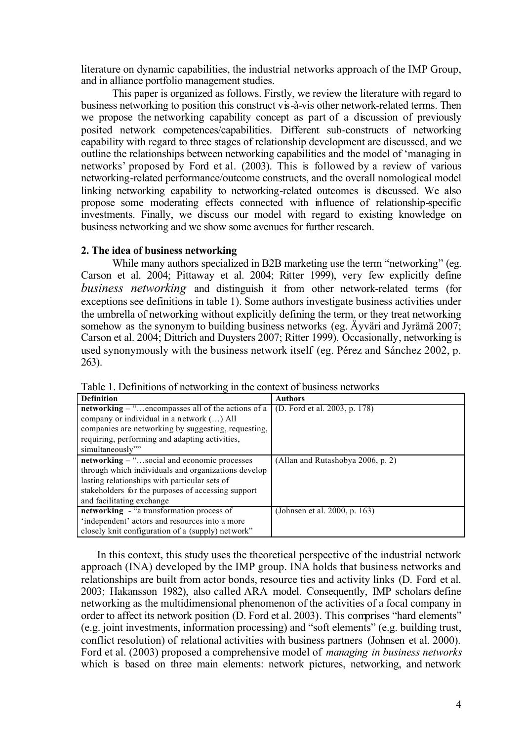literature on dynamic capabilities, the industrial networks approach of the IMP Group, and in alliance portfolio management studies.

This paper is organized as follows. Firstly, we review the literature with regard to business networking to position this construct vis-à-vis other network-related terms. Then we propose the networking capability concept as part of a discussion of previously posited network competences/capabilities. Different sub-constructs of networking capability with regard to three stages of relationship development are discussed, and we outline the relationships between networking capabilities and the model of 'managing in networks' proposed by Ford et al. (2003). This is followed by a review of various networking-related performance/outcome constructs, and the overall nomological model linking networking capability to networking-related outcomes is discussed. We also propose some moderating effects connected with influence of relationship-specific investments. Finally, we discuss our model with regard to existing knowledge on business networking and we show some avenues for further research.

## **2. The idea of business networking**

While many authors specialized in B2B marketing use the term "networking" (eg. Carson et al. 2004; Pittaway et al. 2004; Ritter 1999), very few explicitly define *business networking* and distinguish it from other network-related terms (for exceptions see definitions in table 1). Some authors investigate business activities under the umbrella of networking without explicitly defining the term, or they treat networking somehow as the synonym to building business networks (eg. Äyväri and Jyrämä 2007; Carson et al. 2004; Dittrich and Duysters 2007; Ritter 1999). Occasionally, networking is used synonymously with the business network itself (eg. Pérez and Sánchez 2002, p. 263).

| <b>Definition</b>                                           | <b>Authors</b>                    |
|-------------------------------------------------------------|-----------------------------------|
| <b>networking</b> $-$ " encompasses all of the actions of a | (D. Ford et al. 2003, p. 178)     |
| company or individual in a network () All                   |                                   |
| companies are networking by suggesting, requesting,         |                                   |
| requiring, performing and adapting activities,              |                                   |
| simultaneously"                                             |                                   |
| networking – "social and economic processes                 | (Allan and Rutashobya 2006, p. 2) |
| through which individuals and organizations develop         |                                   |
| lasting relationships with particular sets of               |                                   |
| stakeholders for the purposes of accessing support          |                                   |
| and facilitating exchange                                   |                                   |
| networking - "a transformation process of                   | (Johnsen et al. 2000, p. 163)     |
| 'independent' actors and resources into a more              |                                   |
| closely knit configuration of a (supply) network"           |                                   |

Table 1. Definitions of networking in the context of business networks

In this context, this study uses the theoretical perspective of the industrial network approach (INA) developed by the IMP group. INA holds that business networks and relationships are built from actor bonds, resource ties and activity links (D. Ford et al. 2003; Hakansson 1982), also called ARA model. Consequently, IMP scholars define networking as the multidimensional phenomenon of the activities of a focal company in order to affect its network position (D. Ford et al. 2003). This comprises "hard elements" (e.g. joint investments, information processing) and "soft elements" (e.g. building trust, conflict resolution) of relational activities with business partners (Johnsen et al. 2000). Ford et al. (2003) proposed a comprehensive model of *managing in business networks* which is based on three main elements: network pictures, networking, and network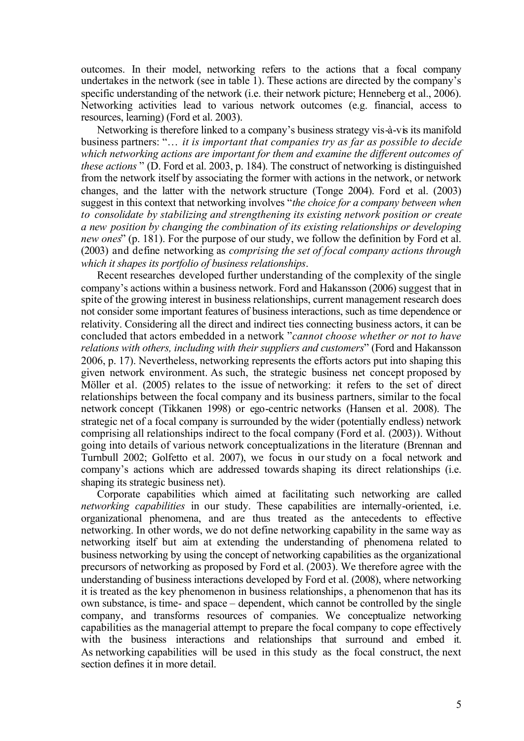outcomes. In their model, networking refers to the actions that a focal company undertakes in the network (see in table 1). These actions are directed by the company's specific understanding of the network (i.e. their network picture; Henneberg et al., 2006). Networking activities lead to various network outcomes (e.g. financial, access to resources, learning) (Ford et al. 2003).

Networking is therefore linked to a company's business strategy vis-à-vis its manifold business partners: "… *it is important that companies try as far as possible to decide which networking actions are important for them and examine the different outcomes of these actions* " (D. Ford et al. 2003, p. 184). The construct of networking is distinguished from the network itself by associating the former with actions in the network, or network changes, and the latter with the network structure (Tonge 2004). Ford et al. (2003) suggest in this context that networking involves "*the choice for a company between when to consolidate by stabilizing and strengthening its existing network position or create a new position by changing the combination of its existing relationships or developing new ones*" (p. 181). For the purpose of our study, we follow the definition by Ford et al. (2003) and define networking as *comprising the set of focal company actions through which it shapes its portfolio of business relationships*.

Recent researches developed further understanding of the complexity of the single company's actions within a business network. Ford and Hakansson (2006) suggest that in spite of the growing interest in business relationships, current management research does not consider some important features of business interactions, such as time dependence or relativity. Considering all the direct and indirect ties connecting business actors, it can be concluded that actors embedded in a network "*cannot choose whether or not to have relations with others, including with their suppliers and customers*" (Ford and Hakansson 2006, p. 17). Nevertheless, networking represents the efforts actors put into shaping this given network environment. As such, the strategic business net concept proposed by Möller et al. (2005) relates to the issue of networking: it refers to the set of direct relationships between the focal company and its business partners, similar to the focal network concept (Tikkanen 1998) or ego-centric networks (Hansen et al. 2008). The strategic net of a focal company is surrounded by the wider (potentially endless) network comprising all relationships indirect to the focal company (Ford et al. (2003)). Without going into details of various network conceptualizations in the literature (Brennan and Turnbull 2002; Golfetto et al. 2007), we focus in our study on a focal network and company's actions which are addressed towards shaping its direct relationships (i.e. shaping its strategic business net).

Corporate capabilities which aimed at facilitating such networking are called *networking capabilities* in our study. These capabilities are internally-oriented, i.e. organizational phenomena, and are thus treated as the antecedents to effective networking. In other words, we do not define networking capability in the same way as networking itself but aim at extending the understanding of phenomena related to business networking by using the concept of networking capabilities as the organizational precursors of networking as proposed by Ford et al. (2003). We therefore agree with the understanding of business interactions developed by Ford et al. (2008), where networking it is treated as the key phenomenon in business relationships, a phenomenon that has its own substance, is time- and space – dependent, which cannot be controlled by the single company, and transforms resources of companies. We conceptualize networking capabilities as the managerial attempt to prepare the focal company to cope effectively with the business interactions and relationships that surround and embed it. As networking capabilities will be used in this study as the focal construct, the next section defines it in more detail.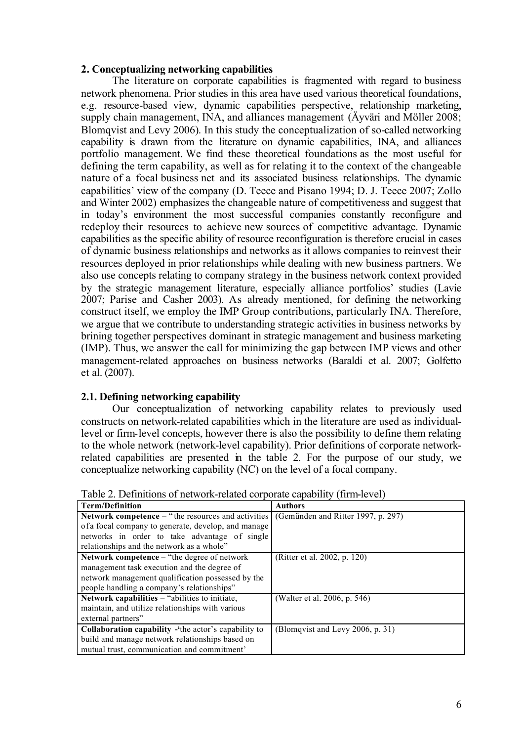## **2. Conceptualizing networking capabilities**

The literature on corporate capabilities is fragmented with regard to business network phenomena. Prior studies in this area have used various theoretical foundations, e.g. resource-based view, dynamic capabilities perspective, relationship marketing, supply chain management, INA, and alliances management (Äyväri and Möller 2008; Blomqvist and Levy 2006). In this study the conceptualization of so-called networking capability is drawn from the literature on dynamic capabilities, INA, and alliances portfolio management. We find these theoretical foundations as the most useful for defining the term capability, as well as for relating it to the context of the changeable nature of a focal business net and its associated business relationships. The dynamic capabilities' view of the company (D. Teece and Pisano 1994; D. J. Teece 2007; Zollo and Winter 2002) emphasizes the changeable nature of competitiveness and suggest that in today's environment the most successful companies constantly reconfigure and redeploy their resources to achieve new sources of competitive advantage. Dynamic capabilities as the specific ability of resource reconfiguration is therefore crucial in cases of dynamic business relationships and networks as it allows companies to reinvest their resources deployed in prior relationships while dealing with new business partners. We also use concepts relating to company strategy in the business network context provided by the strategic management literature, especially alliance portfolios' studies (Lavie 2007; Parise and Casher 2003). As already mentioned, for defining the networking construct itself, we employ the IMP Group contributions, particularly INA. Therefore, we argue that we contribute to understanding strategic activities in business networks by brining together perspectives dominant in strategic management and business marketing (IMP). Thus, we answer the call for minimizing the gap between IMP views and other management-related approaches on business networks (Baraldi et al. 2007; Golfetto et al. (2007).

## **2.1. Defining networking capability**

Our conceptualization of networking capability relates to previously used constructs on network-related capabilities which in the literature are used as individuallevel or firm-level concepts, however there is also the possibility to define them relating to the whole network (network-level capability). Prior definitions of corporate networkrelated capabilities are presented in the table 2. For the purpose of our study, we conceptualize networking capability (NC) on the level of a focal company.

| <b>Term/Definition</b>                                      | <b>Authors</b>                     |
|-------------------------------------------------------------|------------------------------------|
| <b>Network competence</b> – "the resources and activities   | (Gemünden and Ritter 1997, p. 297) |
| of a focal company to generate, develop, and manage         |                                    |
| networks in order to take advantage of single               |                                    |
| relationships and the network as a whole"                   |                                    |
| Network competence – "the degree of network"                | (Ritter et al. 2002, p. 120)       |
| management task execution and the degree of                 |                                    |
| network management qualification possessed by the           |                                    |
| people handling a company's relationships"                  |                                    |
| Network capabilities – "abilities to initiate,              | (Walter et al. 2006, p. 546)       |
| maintain, and utilize relationships with various            |                                    |
| external partners"                                          |                                    |
| <b>Collaboration capability</b> - the actor's capability to | (Blomqvist and Levy 2006, p. 31)   |
| build and manage network relationships based on             |                                    |
| mutual trust, communication and commitment'                 |                                    |

Table 2. Definitions of network-related corporate capability (firm-level)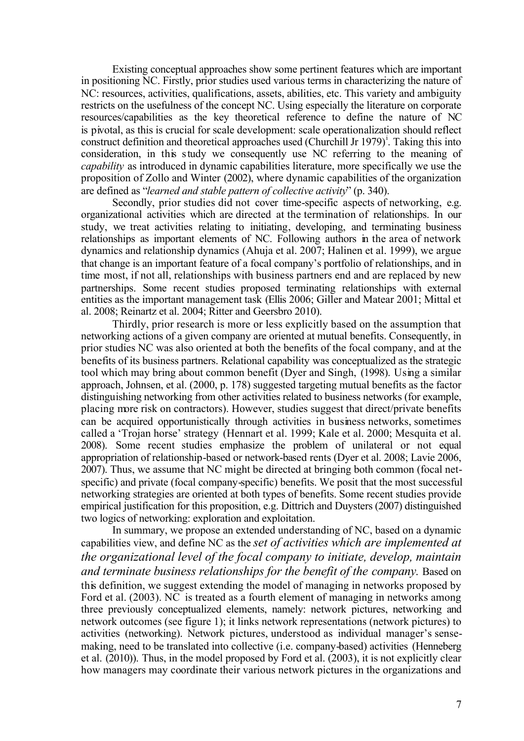Existing conceptual approaches show some pertinent features which are important in positioning NC. Firstly, prior studies used various terms in characterizing the nature of NC: resources, activities, qualifications, assets, abilities, etc. This variety and ambiguity restricts on the usefulness of the concept NC. Using especially the literature on corporate resources/capabilities as the key theoretical reference to define the nature of NC is pivotal, as this is crucial for scale development: scale operationalization should reflect construct definition and theoretical approaches used (Churchill Jr 1979)<sup>1</sup>. Taking this into consideration, in this study we consequently use NC referring to the meaning of *capability* as introduced in dynamic capabilities literature, more specifically we use the proposition of Zollo and Winter (2002), where dynamic capabilities of the organization are defined as "*learned and stable pattern of collective activity*" (p. 340).

Secondly, prior studies did not cover time-specific aspects of networking, e.g. organizational activities which are directed at the termination of relationships. In our study, we treat activities relating to initiating, developing, and terminating business relationships as important elements of NC. Following authors in the area of network dynamics and relationship dynamics (Ahuja et al. 2007; Halinen et al. 1999), we argue that change is an important feature of a focal company's portfolio of relationships, and in time most, if not all, relationships with business partners end and are replaced by new partnerships. Some recent studies proposed terminating relationships with external entities as the important management task (Ellis 2006; Giller and Matear 2001; Mittal et al. 2008; Reinartz et al. 2004; Ritter and Geersbro 2010).

Thirdly, prior research is more or less explicitly based on the assumption that networking actions of a given company are oriented at mutual benefits. Consequently, in prior studies NC was also oriented at both the benefits of the focal company, and at the benefits of its business partners. Relational capability was conceptualized as the strategic tool which may bring about common benefit (Dyer and Singh, (1998). Using a similar approach, Johnsen, et al. (2000, p. 178) suggested targeting mutual benefits as the factor distinguishing networking from other activities related to business networks (for example, placing more risk on contractors). However, studies suggest that direct/private benefits can be acquired opportunistically through activities in business networks, sometimes called a 'Trojan horse' strategy (Hennart et al. 1999; Kale et al. 2000; Mesquita et al. 2008). Some recent studies emphasize the problem of unilateral or not equal appropriation of relationship-based or network-based rents (Dyer et al. 2008; Lavie 2006, 2007). Thus, we assume that NC might be directed at bringing both common (focal netspecific) and private (focal company-specific) benefits. We posit that the most successful networking strategies are oriented at both types of benefits. Some recent studies provide empirical justification for this proposition, e.g. Dittrich and Duysters (2007) distinguished two logics of networking: exploration and exploitation.

In summary, we propose an extended understanding of NC, based on a dynamic capabilities view, and define NC as the *set of activities which are implemented at the organizational level of the focal company to initiate, develop, maintain and terminate business relationships for the benefit of the company.* Based on this definition, we suggest extending the model of managing in networks proposed by Ford et al. (2003). NC is treated as a fourth element of managing in networks among three previously conceptualized elements, namely: network pictures, networking and network outcomes (see figure 1); it links network representations (network pictures) to activities (networking). Network pictures, understood as individual manager's sensemaking, need to be translated into collective (i.e. company-based) activities (Henneberg et al. (2010)). Thus, in the model proposed by Ford et al. (2003), it is not explicitly clear how managers may coordinate their various network pictures in the organizations and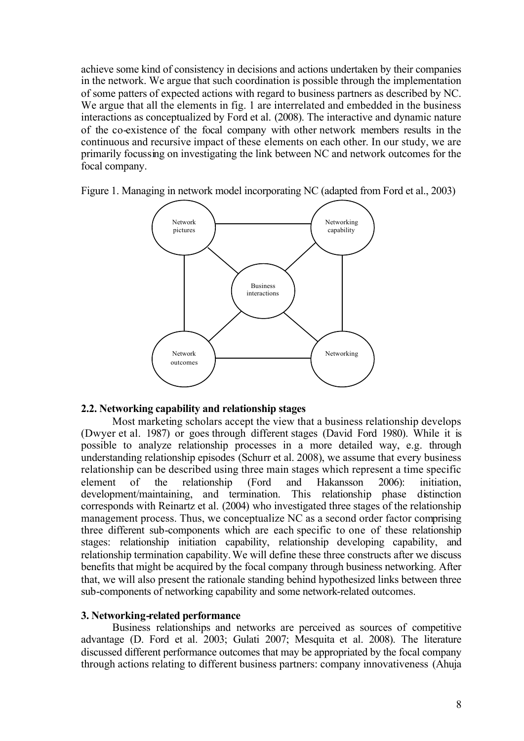achieve some kind of consistency in decisions and actions undertaken by their companies in the network. We argue that such coordination is possible through the implementation of some patters of expected actions with regard to business partners as described by NC. We argue that all the elements in fig. 1 are interrelated and embedded in the business interactions as conceptualized by Ford et al. (2008). The interactive and dynamic nature of the co-existence of the focal company with other network members results in the continuous and recursive impact of these elements on each other. In our study, we are primarily focussing on investigating the link between NC and network outcomes for the focal company.

Figure 1. Managing in network model incorporating NC (adapted from Ford et al., 2003)



## **2.2. Networking capability and relationship stages**

Most marketing scholars accept the view that a business relationship develops (Dwyer et al. 1987) or goes through different stages (David Ford 1980). While it is possible to analyze relationship processes in a more detailed way, e.g. through understanding relationship episodes (Schurr et al. 2008), we assume that every business relationship can be described using three main stages which represent a time specific element of the relationship (Ford and Hakansson 2006): initiation development/maintaining, and termination. This relationship phase distinction corresponds with Reinartz et al. (2004) who investigated three stages of the relationship management process. Thus, we conceptualize NC as a second order factor comprising three different sub-components which are each specific to one of these relationship stages: relationship initiation capability, relationship developing capability, and relationship termination capability. We will define these three constructs after we discuss benefits that might be acquired by the focal company through business networking. After that, we will also present the rationale standing behind hypothesized links between three sub-components of networking capability and some network-related outcomes.

## **3. Networking-related performance**

Business relationships and networks are perceived as sources of competitive advantage (D. Ford et al. 2003; Gulati 2007; Mesquita et al. 2008). The literature discussed different performance outcomes that may be appropriated by the focal company through actions relating to different business partners: company innovativeness (Ahuja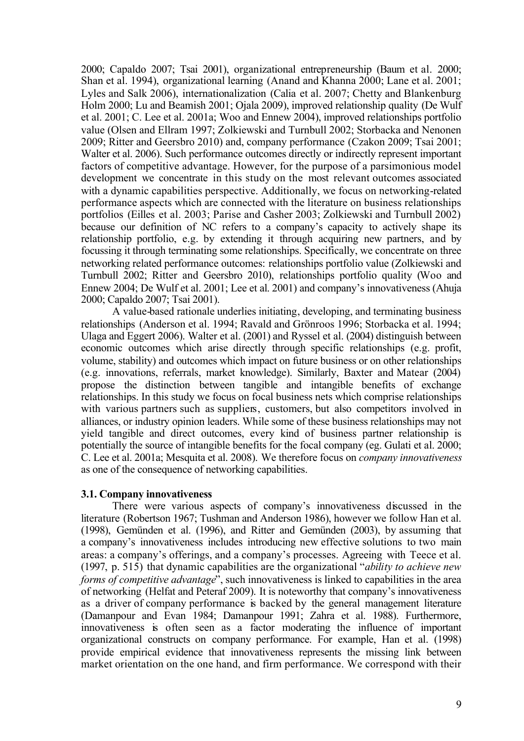2000; Capaldo 2007; Tsai 2001), organizational entrepreneurship (Baum et al. 2000; Shan et al. 1994), organizational learning (Anand and Khanna 2000; Lane et al. 2001; Lyles and Salk 2006), internationalization (Calia et al. 2007; Chetty and Blankenburg Holm 2000; Lu and Beamish 2001; Ojala 2009), improved relationship quality (De Wulf et al. 2001; C. Lee et al. 2001a; Woo and Ennew 2004), improved relationships portfolio value (Olsen and Ellram 1997; Zolkiewski and Turnbull 2002; Storbacka and Nenonen 2009; Ritter and Geersbro 2010) and, company performance (Czakon 2009; Tsai 2001; Walter et al. 2006). Such performance outcomes directly or indirectly represent important factors of competitive advantage. However, for the purpose of a parsimonious model development we concentrate in this study on the most relevant outcomes associated with a dynamic capabilities perspective. Additionally, we focus on networking-related performance aspects which are connected with the literature on business relationships portfolios (Eilles et al. 2003; Parise and Casher 2003; Zolkiewski and Turnbull 2002) because our definition of NC refers to a company's capacity to actively shape its relationship portfolio, e.g. by extending it through acquiring new partners, and by focussing it through terminating some relationships. Specifically, we concentrate on three networking related performance outcomes: relationships portfolio value (Zolkiewski and Turnbull 2002; Ritter and Geersbro 2010), relationships portfolio quality (Woo and Ennew 2004; De Wulf et al. 2001; Lee et al. 2001) and company's innovativeness (Ahuja 2000; Capaldo 2007; Tsai 2001).

A value-based rationale underlies initiating, developing, and terminating business relationships (Anderson et al. 1994; Ravald and Grönroos 1996; Storbacka et al. 1994; Ulaga and Eggert 2006). Walter et al. (2001) and Ryssel et al. (2004) distinguish between economic outcomes which arise directly through specific relationships (e.g. profit, volume, stability) and outcomes which impact on future business or on other relationships (e.g. innovations, referrals, market knowledge). Similarly, Baxter and Matear (2004) propose the distinction between tangible and intangible benefits of exchange relationships. In this study we focus on focal business nets which comprise relationships with various partners such as suppliers, customers, but also competitors involved in alliances, or industry opinion leaders. While some of these business relationships may not yield tangible and direct outcomes, every kind of business partner relationship is potentially the source of intangible benefits for the focal company (eg. Gulati et al. 2000; C. Lee et al. 2001a; Mesquita et al. 2008). We therefore focus on *company innovativeness* as one of the consequence of networking capabilities.

#### **3.1. Company innovativeness**

There were various aspects of company's innovativeness discussed in the literature (Robertson 1967; Tushman and Anderson 1986), however we follow Han et al. (1998), Gemünden et al. (1996), and Ritter and Gemünden (2003), by assuming that a company's innovativeness includes introducing new effective solutions to two main areas: a company's offerings, and a company's processes. Agreeing with Teece et al. (1997, p. 515) that dynamic capabilities are the organizational "*ability to achieve new forms of competitive advantage*", such innovativeness is linked to capabilities in the area of networking (Helfat and Peteraf 2009). It is noteworthy that company's innovativeness as a driver of company performance is backed by the general management literature (Damanpour and Evan 1984; Damanpour 1991; Zahra et al. 1988). Furthermore, innovativeness is often seen as a factor moderating the influence of important organizational constructs on company performance. For example, Han et al. (1998) provide empirical evidence that innovativeness represents the missing link between market orientation on the one hand, and firm performance. We correspond with their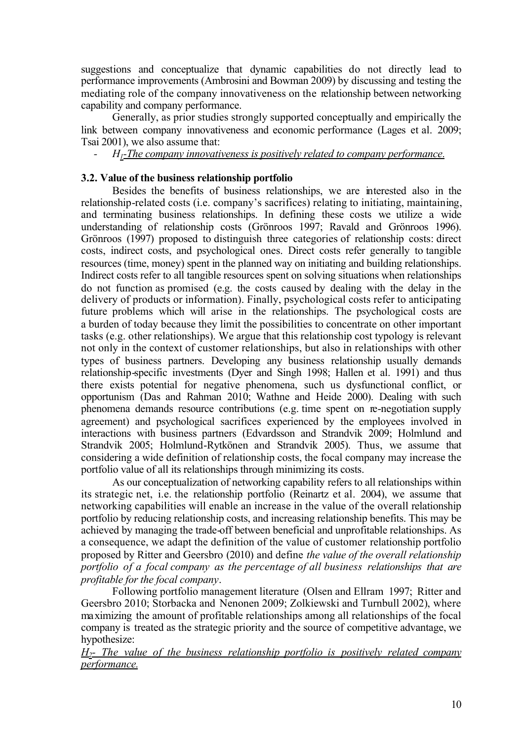suggestions and conceptualize that dynamic capabilities do not directly lead to performance improvements (Ambrosini and Bowman 2009) by discussing and testing the mediating role of the company innovativeness on the relationship between networking capability and company performance.

Generally, as prior studies strongly supported conceptually and empirically the link between company innovativeness and economic performance (Lages et al. 2009; Tsai 2001), we also assume that:

*- H1-The company innovativeness is positively related to company performance.*

## **3.2. Value of the business relationship portfolio**

Besides the benefits of business relationships, we are interested also in the relationship-related costs (i.e. company's sacrifices) relating to initiating, maintaining, and terminating business relationships. In defining these costs we utilize a wide understanding of relationship costs (Grönroos 1997; Ravald and Grönroos 1996). Grönroos (1997) proposed to distinguish three categories of relationship costs: direct costs, indirect costs, and psychological ones. Direct costs refer generally to tangible resources (time, money) spent in the planned way on initiating and building relationships. Indirect costs refer to all tangible resources spent on solving situations when relationships do not function as promised (e.g. the costs caused by dealing with the delay in the delivery of products or information). Finally, psychological costs refer to anticipating future problems which will arise in the relationships. The psychological costs are a burden of today because they limit the possibilities to concentrate on other important tasks (e.g. other relationships). We argue that this relationship cost typology is relevant not only in the context of customer relationships, but also in relationships with other types of business partners. Developing any business relationship usually demands relationship-specific investments (Dyer and Singh 1998; Hallen et al. 1991) and thus there exists potential for negative phenomena, such us dysfunctional conflict, or opportunism (Das and Rahman 2010; Wathne and Heide 2000). Dealing with such phenomena demands resource contributions (e.g. time spent on re-negotiation supply agreement) and psychological sacrifices experienced by the employees involved in interactions with business partners (Edvardsson and Strandvik 2009; Holmlund and Strandvik 2005; Holmlund-Rytkönen and Strandvik 2005). Thus, we assume that considering a wide definition of relationship costs, the focal company may increase the portfolio value of all its relationships through minimizing its costs.

As our conceptualization of networking capability refers to all relationships within its strategic net, i.e. the relationship portfolio (Reinartz et al. 2004), we assume that networking capabilities will enable an increase in the value of the overall relationship portfolio by reducing relationship costs, and increasing relationship benefits. This may be achieved by managing the trade-off between beneficial and unprofitable relationships. As a consequence, we adapt the definition of the value of customer relationship portfolio proposed by Ritter and Geersbro (2010) and define *the value of the overall relationship portfolio of a focal company as the percentage of all business relationships that are profitable for the focal company*.

Following portfolio management literature (Olsen and Ellram 1997; Ritter and Geersbro 2010; Storbacka and Nenonen 2009; Zolkiewski and Turnbull 2002), where maximizing the amount of profitable relationships among all relationships of the focal company is treated as the strategic priority and the source of competitive advantage, we hypothesize:

*H2- The value of the business relationship portfolio is positively related company performance.*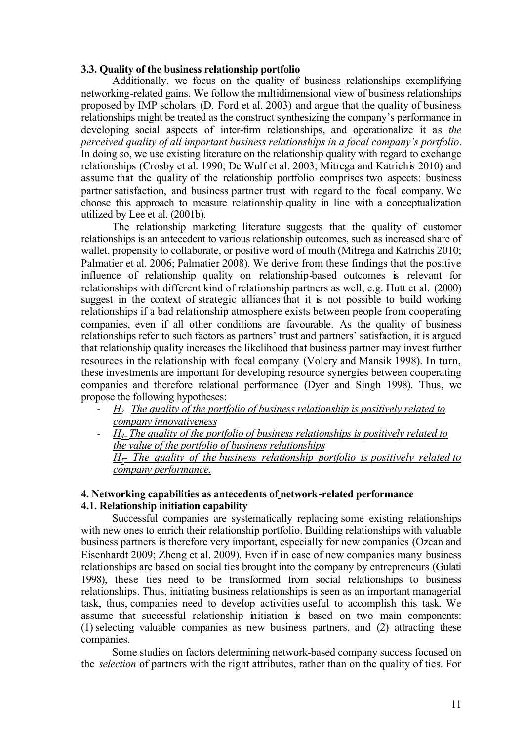## **3.3. Quality of the business relationship portfolio**

Additionally, we focus on the quality of business relationships exemplifying networking-related gains. We follow the multidimensional view of business relationships proposed by IMP scholars (D. Ford et al. 2003) and argue that the quality of business relationships might be treated as the construct synthesizing the company's performance in developing social aspects of inter-firm relationships, and operationalize it as *the perceived quality of all important business relationships in a focal company's portfolio*. In doing so, we use existing literature on the relationship quality with regard to exchange relationships (Crosby et al. 1990; De Wulf et al. 2003; Mitrega and Katrichis 2010) and assume that the quality of the relationship portfolio comprises two aspects: business partner satisfaction, and business partner trust with regard to the focal company. We choose this approach to measure relationship quality in line with a conceptualization utilized by Lee et al. (2001b).

The relationship marketing literature suggests that the quality of customer relationships is an antecedent to various relationship outcomes, such as increased share of wallet, propensity to collaborate, or positive word of mouth (Mitrega and Katrichis 2010; Palmatier et al. 2006; Palmatier 2008). We derive from these findings that the positive influence of relationship quality on relationship-based outcomes is relevant for relationships with different kind of relationship partners as well, e.g. Hutt et al. (2000) suggest in the context of strategic alliances that it is not possible to build working relationships if a bad relationship atmosphere exists between people from cooperating companies, even if all other conditions are favourable. As the quality of business relationships refer to such factors as partners' trust and partners' satisfaction, it is argued that relationship quality increases the likelihood that business partner may invest further resources in the relationship with focal company (Volery and Mansik 1998). In turn, these investments are important for developing resource synergies between cooperating companies and therefore relational performance (Dyer and Singh 1998). Thus, we propose the following hypotheses:

- *H<sup>3</sup> – The quality of the portfolio of business relationship is positively related to company innovativeness*
- *H4– The quality of the portfolio of business relationships is positively related to the value of the portfolio of business relationships H5- The quality of the business relationship portfolio is positively related to company performance.*

## **4. Networking capabilities as antecedents of network-related performance 4.1. Relationship initiation capability**

Successful companies are systematically replacing some existing relationships with new ones to enrich their relationship portfolio. Building relationships with valuable business partners is therefore very important, especially for new companies (Ozcan and Eisenhardt 2009; Zheng et al. 2009). Even if in case of new companies many business relationships are based on social ties brought into the company by entrepreneurs (Gulati 1998), these ties need to be transformed from social relationships to business relationships. Thus, initiating business relationships is seen as an important managerial task, thus, companies need to develop activities useful to accomplish this task. We assume that successful relationship initiation is based on two main components: (1) selecting valuable companies as new business partners, and (2) attracting these companies.

Some studies on factors determining network-based company success focused on the *selection* of partners with the right attributes, rather than on the quality of ties. For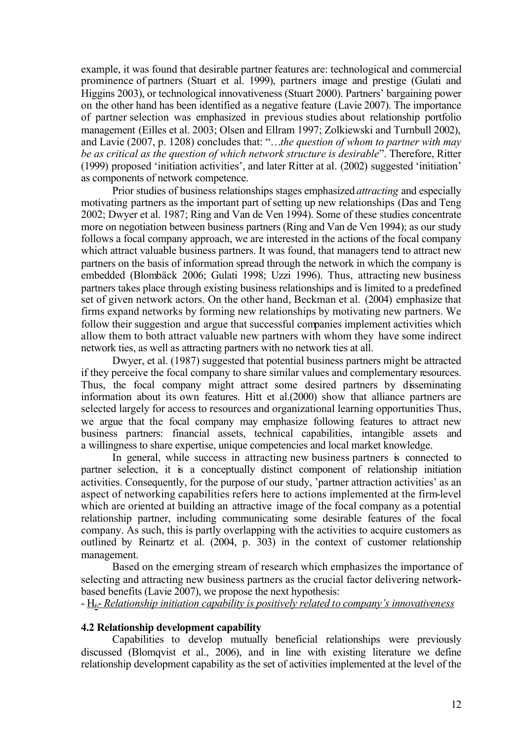example, it was found that desirable partner features are: technological and commercial prominence of partners (Stuart et al. 1999), partners image and prestige (Gulati and Higgins 2003), or technological innovativeness (Stuart 2000). Partners' bargaining power on the other hand has been identified as a negative feature (Lavie 2007). The importance of partner selection was emphasized in previous studies about relationship portfolio management (Eilles et al. 2003; Olsen and Ellram 1997; Zolkiewski and Turnbull 2002), and Lavie (2007, p. 1208) concludes that: "…*the question of whom to partner with may be as critical as the question of which network structure is desirable*". Therefore, Ritter (1999) proposed 'initiation activities', and later Ritter at al. (2002) suggested 'initiation' as components of network competence.

Prior studies of business relationships stages emphasized *attracting* and especially motivating partners as the important part of setting up new relationships (Das and Teng 2002; Dwyer et al. 1987; Ring and Van de Ven 1994). Some of these studies concentrate more on negotiation between business partners (Ring and Van de Ven 1994); as our study follows a focal company approach, we are interested in the actions of the focal company which attract valuable business partners. It was found, that managers tend to attract new partners on the basis of information spread through the network in which the company is embedded (Blombäck 2006; Gulati 1998; Uzzi 1996). Thus, attracting new business partners takes place through existing business relationships and is limited to a predefined set of given network actors. On the other hand, Beckman et al. (2004) emphasize that firms expand networks by forming new relationships by motivating new partners. We follow their suggestion and argue that successful companies implement activities which allow them to both attract valuable new partners with whom they have some indirect network ties, as well as attracting partners with no network ties at all.

Dwyer, et al. (1987) suggested that potential business partners might be attracted if they perceive the focal company to share similar values and complementary resources. Thus, the focal company might attract some desired partners by disseminating information about its own features. Hitt et al.(2000) show that alliance partners are selected largely for access to resources and organizational learning opportunities Thus, we argue that the focal company may emphasize following features to attract new business partners: financial assets, technical capabilities, intangible assets and a willingness to share expertise, unique competencies and local market knowledge.

In general, while success in attracting new business partners is connected to partner selection, it is a conceptually distinct component of relationship initiation activities. Consequently, for the purpose of our study, 'partner attraction activities' as an aspect of networking capabilities refers here to actions implemented at the firm-level which are oriented at building an attractive image of the focal company as a potential relationship partner, including communicating some desirable features of the focal company. As such, this is partly overlapping with the activities to acquire customers as outlined by Reinartz et al. (2004, p. 303) in the context of customer relationship management.

Based on the emerging stream of research which emphasizes the importance of selecting and attracting new business partners as the crucial factor delivering networkbased benefits (Lavie 2007), we propose the next hypothesis:

- H6- *Relationship initiation capability is positively related to company's innovativeness* 

#### **4.2 Relationship development capability**

Capabilities to develop mutually beneficial relationships were previously discussed (Blomqvist et al., 2006), and in line with existing literature we define relationship development capability as the set of activities implemented at the level of the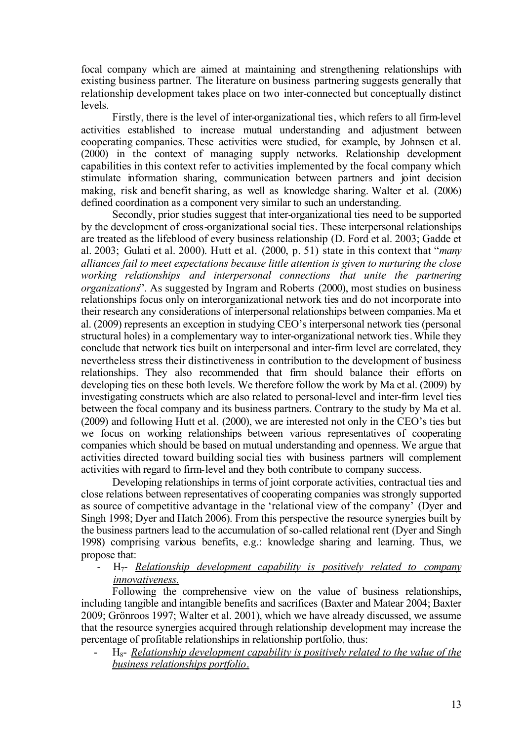focal company which are aimed at maintaining and strengthening relationships with existing business partner. The literature on business partnering suggests generally that relationship development takes place on two inter-connected but conceptually distinct levels.

Firstly, there is the level of inter-organizational ties, which refers to all firm-level activities established to increase mutual understanding and adjustment between cooperating companies. These activities were studied, for example, by Johnsen et al. (2000) in the context of managing supply networks. Relationship development capabilities in this context refer to activities implemented by the focal company which stimulate information sharing, communication between partners and joint decision making, risk and benefit sharing, as well as knowledge sharing. Walter et al. (2006) defined coordination as a component very similar to such an understanding.

Secondly, prior studies suggest that inter-organizational ties need to be supported by the development of cross-organizational social ties. These interpersonal relationships are treated as the lifeblood of every business relationship (D. Ford et al. 2003; Gadde et al. 2003; Gulati et al. 2000). Hutt et al. (2000, p. 51) state in this context that "*many alliances fail to meet expectations because little attention is given to nurturing the close working relationships and interpersonal connections that unite the partnering organizations*". As suggested by Ingram and Roberts (2000), most studies on business relationships focus only on interorganizational network ties and do not incorporate into their research any considerations of interpersonal relationships between companies. Ma et al. (2009) represents an exception in studying CEO's interpersonal network ties (personal structural holes) in a complementary way to inter-organizational network ties.While they conclude that network ties built on interpersonal and inter-firm level are correlated, they nevertheless stress their distinctiveness in contribution to the development of business relationships. They also recommended that firm should balance their efforts on developing ties on these both levels. We therefore follow the work by Ma et al. (2009) by investigating constructs which are also related to personal-level and inter-firm level ties between the focal company and its business partners. Contrary to the study by Ma et al. (2009) and following Hutt et al. (2000), we are interested not only in the CEO's ties but we focus on working relationships between various representatives of cooperating companies which should be based on mutual understanding and openness. We argue that activities directed toward building social ties with business partners will complement activities with regard to firm-level and they both contribute to company success.

Developing relationships in terms of joint corporate activities, contractual ties and close relations between representatives of cooperating companies was strongly supported as source of competitive advantage in the 'relational view of the company' (Dyer and Singh 1998; Dyer and Hatch 2006). From this perspective the resource synergies built by the business partners lead to the accumulation of so-called relational rent (Dyer and Singh 1998) comprising various benefits, e.g.: knowledge sharing and learning. Thus, we propose that:

- H7- *Relationship development capability is positively related to company innovativeness.*

Following the comprehensive view on the value of business relationships, including tangible and intangible benefits and sacrifices (Baxter and Matear 2004; Baxter 2009; Grönroos 1997; Walter et al. 2001), which we have already discussed, we assume that the resource synergies acquired through relationship development may increase the percentage of profitable relationships in relationship portfolio, thus:

 $H_{8}$ - *Relationship development capability is positively related to the value of the business relationships portfolio*.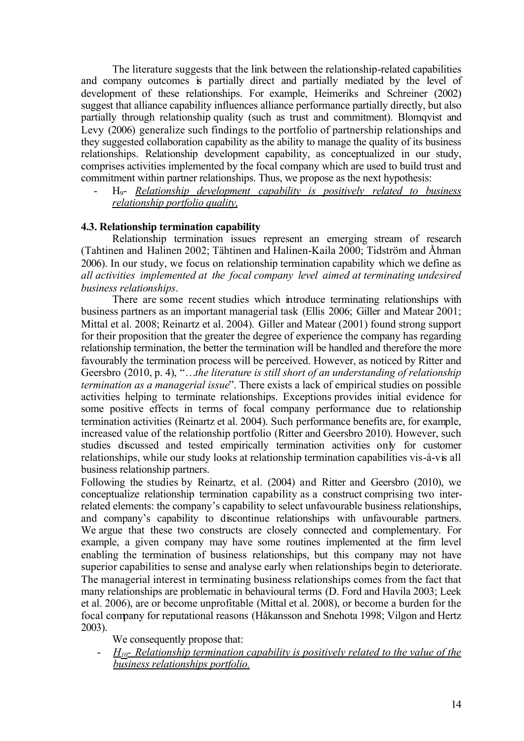The literature suggests that the link between the relationship-related capabilities and company outcomes is partially direct and partially mediated by the level of development of these relationships. For example, Heimeriks and Schreiner (2002) suggest that alliance capability influences alliance performance partially directly, but also partially through relationship quality (such as trust and commitment). Blomqvist and Levy (2006) generalize such findings to the portfolio of partnership relationships and they suggested collaboration capability as the ability to manage the quality of its business relationships. Relationship development capability, as conceptualized in our study, comprises activities implemented by the focal company which are used to build trust and commitment within partner relationships. Thus, we propose as the next hypothesis:

- H9- *Relationship development capability is positively related to business relationship portfolio quality,*

## **4.3. Relationship termination capability**

Relationship termination issues represent an emerging stream of research (Tahtinen and Halinen 2002; Tähtinen and Halinen-Kaila 2000; Tidström and Åhman 2006). In our study, we focus on relationship termination capability which we define as *all activities implemented at the focal company level aimed at terminating undesired business relationships*.

There are some recent studies which introduce terminating relationships with business partners as an important managerial task (Ellis 2006; Giller and Matear 2001; Mittal et al. 2008; Reinartz et al. 2004). Giller and Matear (2001) found strong support for their proposition that the greater the degree of experience the company has regarding relationship termination, the better the termination will be handled and therefore the more favourably the termination process will be perceived. However, as noticed by Ritter and Geersbro (2010, p. 4), "…*the literature is still short of an understanding of relationship termination as a managerial issue*". There exists a lack of empirical studies on possible activities helping to terminate relationships. Exceptions provides initial evidence for some positive effects in terms of focal company performance due to relationship termination activities (Reinartz et al. 2004). Such performance benefits are, for example, increased value of the relationship portfolio (Ritter and Geersbro 2010). However, such studies discussed and tested empirically termination activities only for customer relationships, while our study looks at relationship termination capabilities vis-à-vis all business relationship partners.

Following the studies by Reinartz, et al. (2004) and Ritter and Geersbro (2010), we conceptualize relationship termination capability as a construct comprising two interrelated elements: the company's capability to select unfavourable business relationships, and company's capability to discontinue relationships with unfavourable partners. We argue that these two constructs are closely connected and complementary. For example, a given company may have some routines implemented at the firm level enabling the termination of business relationships, but this company may not have superior capabilities to sense and analyse early when relationships begin to deteriorate. The managerial interest in terminating business relationships comes from the fact that many relationships are problematic in behavioural terms (D. Ford and Havila 2003; Leek et al. 2006), are or become unprofitable (Mittal et al. 2008), or become a burden for the focal company for reputational reasons (Håkansson and Snehota 1998; Vilgon and Hertz 2003).

We consequently propose that:

- *H10- Relationship termination capability is positively related to the value of the business relationships portfolio.*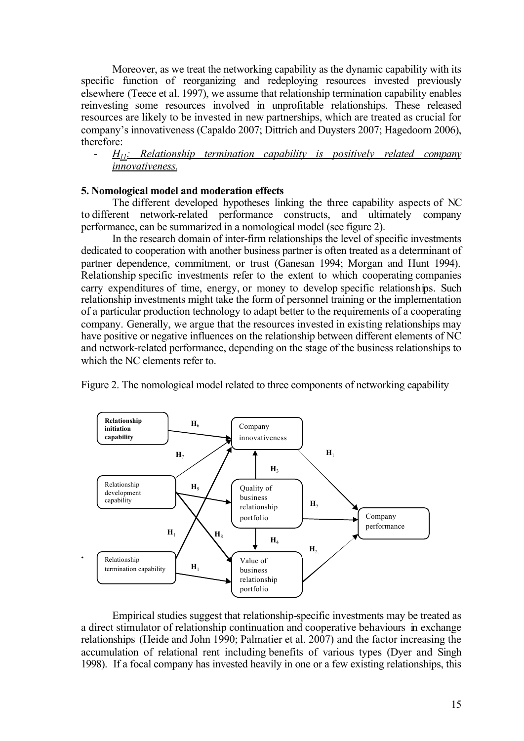Moreover, as we treat the networking capability as the dynamic capability with its specific function of reorganizing and redeploying resources invested previously elsewhere (Teece et al. 1997), we assume that relationship termination capability enables reinvesting some resources involved in unprofitable relationships. These released resources are likely to be invested in new partnerships, which are treated as crucial for company's innovativeness (Capaldo 2007; Dittrich and Duysters 2007; Hagedoorn 2006), therefore:

## - *H11: Relationship termination capability is positively related company innovativeness.*

## **5. Nomological model and moderation effects**

The different developed hypotheses linking the three capability aspects of NC to different network-related performance constructs, and ultimately company performance, can be summarized in a nomological model (see figure 2).

In the research domain of inter-firm relationships the level of specific investments dedicated to cooperation with another business partner is often treated as a determinant of partner dependence, commitment, or trust (Ganesan 1994; Morgan and Hunt 1994). Relationship specific investments refer to the extent to which cooperating companies carry expenditures of time, energy, or money to develop specific relationships. Such relationship investments might take the form of personnel training or the implementation of a particular production technology to adapt better to the requirements of a cooperating company. Generally, we argue that the resources invested in existing relationships may have positive or negative influences on the relationship between different elements of NC and network-related performance, depending on the stage of the business relationships to which the NC elements refer to.

Figure 2. The nomological model related to three components of networking capability



Empirical studies suggest that relationship-specific investments may be treated as a direct stimulator of relationship continuation and cooperative behaviours in exchange relationships (Heide and John 1990; Palmatier et al. 2007) and the factor increasing the accumulation of relational rent including benefits of various types (Dyer and Singh 1998). If a focal company has invested heavily in one or a few existing relationships, this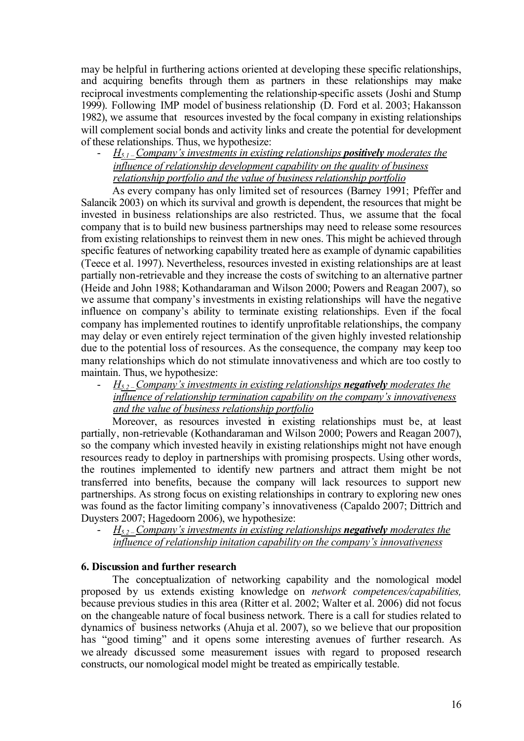may be helpful in furthering actions oriented at developing these specific relationships, and acquiring benefits through them as partners in these relationships may make reciprocal investments complementing the relationship-specific assets (Joshi and Stump 1999). Following IMP model of business relationship (D. Ford et al. 2003; Hakansson 1982), we assume that resources invested by the focal company in existing relationships will complement social bonds and activity links and create the potential for development of these relationships. Thus, we hypothesize:

## - *H5.1 –Company's investments in existing relationships positively moderates the influence of relationship development capability on the quality of business relationship portfolio and the value of business relationship portfolio*

As every company has only limited set of resources (Barney 1991; Pfeffer and Salancik 2003) on which its survival and growth is dependent, the resources that might be invested in business relationships are also restricted. Thus, we assume that the focal company that is to build new business partnerships may need to release some resources from existing relationships to reinvest them in new ones. This might be achieved through specific features of networking capability treated here as example of dynamic capabilities (Teece et al. 1997). Nevertheless, resources invested in existing relationships are at least partially non-retrievable and they increase the costs of switching to an alternative partner (Heide and John 1988; Kothandaraman and Wilson 2000; Powers and Reagan 2007), so we assume that company's investments in existing relationships will have the negative influence on company's ability to terminate existing relationships. Even if the focal company has implemented routines to identify unprofitable relationships, the company may delay or even entirely reject termination of the given highly invested relationship due to the potential loss of resources. As the consequence, the company may keep too many relationships which do not stimulate innovativeness and which are too costly to maintain. Thus, we hypothesize:

## - *H5.2 –Company's investments in existing relationships negatively moderates the influence of relationship termination capability on the company's innovativeness and the value of business relationship portfolio*

Moreover, as resources invested in existing relationships must be, at least partially, non-retrievable (Kothandaraman and Wilson 2000; Powers and Reagan 2007), so the company which invested heavily in existing relationships might not have enough resources ready to deploy in partnerships with promising prospects. Using other words, the routines implemented to identify new partners and attract them might be not transferred into benefits, because the company will lack resources to support new partnerships. As strong focus on existing relationships in contrary to exploring new ones was found as the factor limiting company's innovativeness (Capaldo 2007; Dittrich and Duysters 2007; Hagedoorn 2006), we hypothesize:

- *H5.2 –Company's investments in existing relationships negatively moderates the influence of relationship initation capability on the company's innovativeness*

## **6. Discussion and further research**

The conceptualization of networking capability and the nomological model proposed by us extends existing knowledge on *network competences/capabilities,*  because previous studies in this area (Ritter et al. 2002; Walter et al. 2006) did not focus on the changeable nature of focal business network. There is a call for studies related to dynamics of business networks (Ahuja et al. 2007), so we believe that our proposition has "good timing" and it opens some interesting avenues of further research. As we already discussed some measurement issues with regard to proposed research constructs, our nomological model might be treated as empirically testable.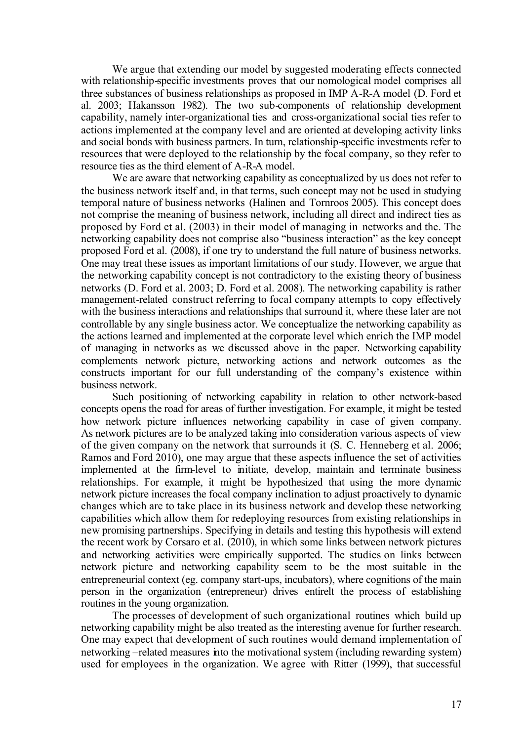We argue that extending our model by suggested moderating effects connected with relationship-specific investments proves that our nomological model comprises all three substances of business relationships as proposed in IMP A-R-A model (D. Ford et al. 2003; Hakansson 1982). The two sub-components of relationship development capability, namely inter-organizational ties and cross-organizational social ties refer to actions implemented at the company level and are oriented at developing activity links and social bonds with business partners. In turn, relationship-specific investments refer to resources that were deployed to the relationship by the focal company, so they refer to resource ties as the third element of A-R-A model.

We are aware that networking capability as conceptualized by us does not refer to the business network itself and, in that terms, such concept may not be used in studying temporal nature of business networks (Halinen and Tornroos 2005). This concept does not comprise the meaning of business network, including all direct and indirect ties as proposed by Ford et al. (2003) in their model of managing in networks and the. The networking capability does not comprise also "business interaction" as the key concept proposed Ford et al. (2008), if one try to understand the full nature of business networks. One may treat these issues as important limitations of our study. However, we argue that the networking capability concept is not contradictory to the existing theory of business networks (D. Ford et al. 2003; D. Ford et al. 2008). The networking capability is rather management-related construct referring to focal company attempts to copy effectively with the business interactions and relationships that surround it, where these later are not controllable by any single business actor. We conceptualize the networking capability as the actions learned and implemented at the corporate level which enrich the IMP model of managing in networks as we discussed above in the paper. Networking capability complements network picture, networking actions and network outcomes as the constructs important for our full understanding of the company's existence within business network.

Such positioning of networking capability in relation to other network-based concepts opens the road for areas of further investigation. For example, it might be tested how network picture influences networking capability in case of given company. As network pictures are to be analyzed taking into consideration various aspects of view of the given company on the network that surrounds it (S. C. Henneberg et al. 2006; Ramos and Ford 2010), one may argue that these aspects influence the set of activities implemented at the firm-level to initiate, develop, maintain and terminate business relationships. For example, it might be hypothesized that using the more dynamic network picture increases the focal company inclination to adjust proactively to dynamic changes which are to take place in its business network and develop these networking capabilities which allow them for redeploying resources from existing relationships in new promising partnerships. Specifying in details and testing this hypothesis will extend the recent work by Corsaro et al. (2010), in which some links between network pictures and networking activities were empirically supported. The studies on links between network picture and networking capability seem to be the most suitable in the entrepreneurial context (eg. company start-ups, incubators), where cognitions of the main person in the organization (entrepreneur) drives entirelt the process of establishing routines in the young organization.

The processes of development of such organizational routines which build up networking capability might be also treated as the interesting avenue for further research. One may expect that development of such routines would demand implementation of networking –related measures into the motivational system (including rewarding system) used for employees in the organization. We agree with Ritter (1999), that successful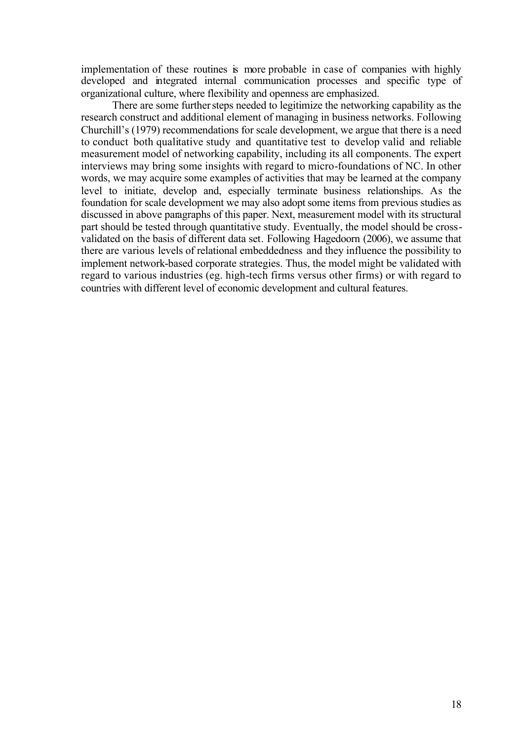implementation of these routines is more probable in case of companies with highly developed and integrated internal communication processes and specific type of organizational culture, where flexibility and openness are emphasized.

There are some further steps needed to legitimize the networking capability as the research construct and additional element of managing in business networks. Following Churchill's (1979) recommendations for scale development, we argue that there is a need to conduct both qualitative study and quantitative test to develop valid and reliable measurement model of networking capability, including its all components. The expert interviews may bring some insights with regard to micro-foundations of NC. In other words, we may acquire some examples of activities that may be learned at the company level to initiate, develop and, especially terminate business relationships. As the foundation for scale development we may also adopt some items from previous studies as discussed in above paragraphs of this paper. Next, measurement model with its structural part should be tested through quantitative study. Eventually, the model should be crossvalidated on the basis of different data set. Following Hagedoorn (2006), we assume that there are various levels of relational embeddedness and they influence the possibility to implement network-based corporate strategies. Thus, the model might be validated with regard to various industries (eg. high-tech firms versus other firms) or with regard to countries with different level of economic development and cultural features.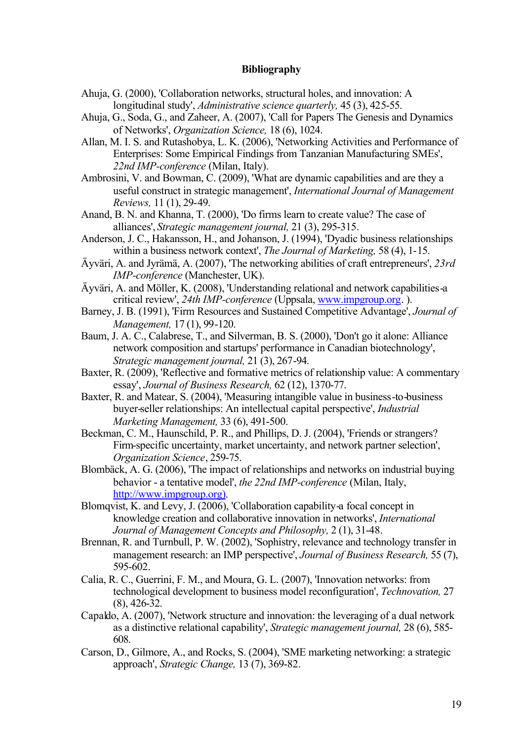#### **Bibliography**

- Ahuja, G. (2000), 'Collaboration networks, structural holes, and innovation: A longitudinal study', *Administrative science quarterly,* 45 (3), 425-55.
- Ahuja, G., Soda, G., and Zaheer, A. (2007), 'Call for Papers The Genesis and Dynamics of Networks', *Organization Science,* 18 (6), 1024.
- Allan, M. I. S. and Rutashobya, L. K. (2006), 'Networking Activities and Performance of Enterprises: Some Empirical Findings from Tanzanian Manufacturing SMEs', *22nd IMP-conference* (Milan, Italy).
- Ambrosini, V. and Bowman, C. (2009), 'What are dynamic capabilities and are they a useful construct in strategic management', *International Journal of Management Reviews,* 11 (1), 29-49.
- Anand, B. N. and Khanna, T. (2000), 'Do firms learn to create value? The case of alliances', *Strategic management journal,* 21 (3), 295-315.
- Anderson, J. C., Hakansson, H., and Johanson, J. (1994), 'Dyadic business relationships within a business network context', *The Journal of Marketing,* 58 (4), 1-15.
- Äyväri, A. and Jyrämä, A. (2007), 'The networking abilities of craft entrepreneurs', *23rd IMP-conference* (Manchester, UK).
- Äyväri, A. and Möller, K. (2008), 'Understanding relational and network capabilities-a critical review', *24th IMP-conference* (Uppsala, www.impgroup.org. ).
- Barney, J. B. (1991), 'Firm Resources and Sustained Competitive Advantage', *Journal of Management,* 17 (1), 99-120.
- Baum, J. A. C., Calabrese, T., and Silverman, B. S. (2000), 'Don't go it alone: Alliance network composition and startups' performance in Canadian biotechnology', *Strategic management journal,* 21 (3), 267-94.
- Baxter, R. (2009), 'Reflective and formative metrics of relationship value: A commentary essay', *Journal of Business Research,* 62 (12), 1370-77.
- Baxter, R. and Matear, S. (2004), 'Measuring intangible value in business-to-business buyer-seller relationships: An intellectual capital perspective', *Industrial Marketing Management,* 33 (6), 491-500.
- Beckman, C. M., Haunschild, P. R., and Phillips, D. J. (2004), 'Friends or strangers? Firm-specific uncertainty, market uncertainty, and network partner selection', *Organization Science*, 259-75.
- Blombäck, A. G. (2006), 'The impact of relationships and networks on industrial buying behavior - a tentative model', *the 22nd IMP-conference* (Milan, Italy, http://www.impgroup.org).
- Blomqvist, K. and Levy, J. (2006), 'Collaboration capability-a focal concept in knowledge creation and collaborative innovation in networks', *International Journal of Management Concepts and Philosophy,* 2 (1), 31-48.
- Brennan, R. and Turnbull, P. W. (2002), 'Sophistry, relevance and technology transfer in management research: an IMP perspective', *Journal of Business Research,* 55 (7), 595-602.
- Calia, R. C., Guerrini, F. M., and Moura, G. L. (2007), 'Innovation networks: from technological development to business model reconfiguration', *Technovation,* 27 (8), 426-32.
- Capaldo, A. (2007), 'Network structure and innovation: the leveraging of a dual network as a distinctive relational capability', *Strategic management journal,* 28 (6), 585- 608.
- Carson, D., Gilmore, A., and Rocks, S. (2004), 'SME marketing networking: a strategic approach', *Strategic Change,* 13 (7), 369-82.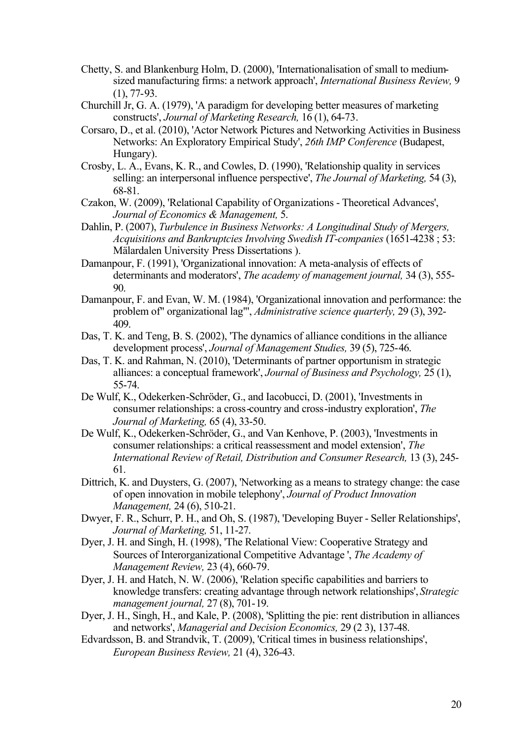- Chetty, S. and Blankenburg Holm, D. (2000), 'Internationalisation of small to mediumsized manufacturing firms: a network approach', *International Business Review,* 9 (1), 77-93.
- Churchill Jr, G. A. (1979), 'A paradigm for developing better measures of marketing constructs', *Journal of Marketing Research,* 16 (1), 64-73.
- Corsaro, D., et al. (2010), 'Actor Network Pictures and Networking Activities in Business Networks: An Exploratory Empirical Study', *26th IMP Conference* (Budapest, Hungary).
- Crosby, L. A., Evans, K. R., and Cowles, D. (1990), 'Relationship quality in services selling: an interpersonal influence perspective', *The Journal of Marketing,* 54 (3), 68-81.
- Czakon, W. (2009), 'Relational Capability of Organizations Theoretical Advances', *Journal of Economics & Management,* 5.
- Dahlin, P. (2007), *Turbulence in Business Networks: A Longitudinal Study of Mergers, Acquisitions and Bankruptcies Involving Swedish IT-companies* (1651-4238 ; 53: Mälardalen University Press Dissertations ).
- Damanpour, F. (1991), 'Organizational innovation: A meta-analysis of effects of determinants and moderators', *The academy of management journal,* 34 (3), 555- 90.
- Damanpour, F. and Evan, W. M. (1984), 'Organizational innovation and performance: the problem of" organizational lag"', *Administrative science quarterly,* 29 (3), 392- 409.
- Das, T. K. and Teng, B. S. (2002), 'The dynamics of alliance conditions in the alliance development process', *Journal of Management Studies,* 39 (5), 725-46.
- Das, T. K. and Rahman, N. (2010), 'Determinants of partner opportunism in strategic alliances: a conceptual framework', *Journal of Business and Psychology,* 25 (1), 55-74.
- De Wulf, K., Odekerken-Schröder, G., and Iacobucci, D. (2001), 'Investments in consumer relationships: a cross-country and cross-industry exploration', *The Journal of Marketing,* 65 (4), 33-50.
- De Wulf, K., Odekerken-Schröder, G., and Van Kenhove, P. (2003), 'Investments in consumer relationships: a critical reassessment and model extension', *The International Review of Retail, Distribution and Consumer Research,* 13 (3), 245- 61.
- Dittrich, K. and Duysters, G. (2007), 'Networking as a means to strategy change: the case of open innovation in mobile telephony', *Journal of Product Innovation Management,* 24 (6), 510-21.
- Dwyer, F. R., Schurr, P. H., and Oh, S. (1987), 'Developing Buyer Seller Relationships', *Journal of Marketing,* 51, 11-27.
- Dyer, J. H. and Singh, H. (1998), 'The Relational View: Cooperative Strategy and Sources of Interorganizational Competitive Advantage ', *The Academy of Management Review,* 23 (4), 660-79.
- Dyer, J. H. and Hatch, N. W. (2006), 'Relation specific capabilities and barriers to knowledge transfers: creating advantage through network relationships', *Strategic management journal,* 27 (8), 701-19.
- Dyer, J. H., Singh, H., and Kale, P. (2008), 'Splitting the pie: rent distribution in alliances and networks', *Managerial and Decision Economics,* 29 (2 3), 137-48.
- Edvardsson, B. and Strandvik, T. (2009), 'Critical times in business relationships', *European Business Review,* 21 (4), 326-43.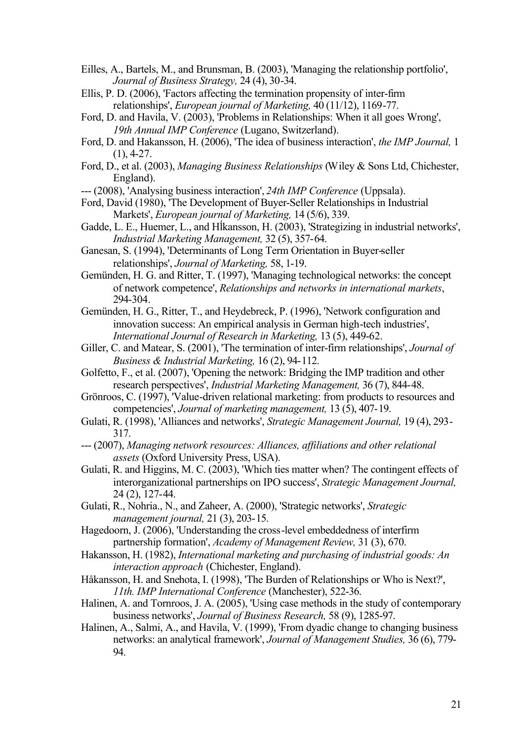- Eilles, A., Bartels, M., and Brunsman, B. (2003), 'Managing the relationship portfolio', *Journal of Business Strategy,* 24 (4), 30-34.
- Ellis, P. D. (2006), 'Factors affecting the termination propensity of inter-firm relationships', *European journal of Marketing,* 40 (11/12), 1169-77.
- Ford, D. and Havila, V. (2003), 'Problems in Relationships: When it all goes Wrong', *19th Annual IMP Conference* (Lugano, Switzerland).
- Ford, D. and Hakansson, H. (2006), 'The idea of business interaction', *the IMP Journal,* 1 (1), 4-27.
- Ford, D., et al. (2003), *Managing Business Relationships* (Wiley & Sons Ltd, Chichester, England).
- --- (2008), 'Analysing business interaction', *24th IMP Conference* (Uppsala).
- Ford, David (1980), 'The Development of Buyer-Seller Relationships in Industrial Markets', *European journal of Marketing,* 14 (5/6), 339.
- Gadde, L. E., Huemer, L., and Hĺkansson, H. (2003), 'Strategizing in industrial networks', *Industrial Marketing Management,* 32 (5), 357-64.
- Ganesan, S. (1994), 'Determinants of Long Term Orientation in Buyer-seller relationships', *Journal of Marketing,* 58, 1-19.
- Gemünden, H. G. and Ritter, T. (1997), 'Managing technological networks: the concept of network competence', *Relationships and networks in international markets*, 294-304.
- Gemünden, H. G., Ritter, T., and Heydebreck, P. (1996), 'Network configuration and innovation success: An empirical analysis in German high-tech industries', *International Journal of Research in Marketing,* 13 (5), 449-62.
- Giller, C. and Matear, S. (2001), 'The termination of inter-firm relationships', *Journal of Business & Industrial Marketing,* 16 (2), 94-112.
- Golfetto, F., et al. (2007), 'Opening the network: Bridging the IMP tradition and other research perspectives', *Industrial Marketing Management,* 36 (7), 844-48.
- Grönroos, C. (1997), 'Value-driven relational marketing: from products to resources and competencies', *Journal of marketing management,* 13 (5), 407-19.
- Gulati, R. (1998), 'Alliances and networks', *Strategic Management Journal,* 19 (4), 293- 317.
- --- (2007), *Managing network resources: Alliances, affiliations and other relational assets* (Oxford University Press, USA).
- Gulati, R. and Higgins, M. C. (2003), 'Which ties matter when? The contingent effects of interorganizational partnerships on IPO success', *Strategic Management Journal,* 24 (2), 127-44.
- Gulati, R., Nohria., N., and Zaheer, A. (2000), 'Strategic networks', *Strategic management journal,* 21 (3), 203-15.
- Hagedoorn, J. (2006), 'Understanding the cross-level embeddedness of interfirm partnership formation', *Academy of Management Review,* 31 (3), 670.
- Hakansson, H. (1982), *International marketing and purchasing of industrial goods: An interaction approach* (Chichester, England).
- Håkansson, H. and Snehota, I. (1998), 'The Burden of Relationships or Who is Next?', *11th. IMP International Conference* (Manchester), 522-36.
- Halinen, A. and Tornroos, J. A. (2005), 'Using case methods in the study of contemporary business networks', *Journal of Business Research,* 58 (9), 1285-97.
- Halinen, A., Salmi, A., and Havila, V. (1999), 'From dyadic change to changing business networks: an analytical framework', *Journal of Management Studies,* 36 (6), 779- 94.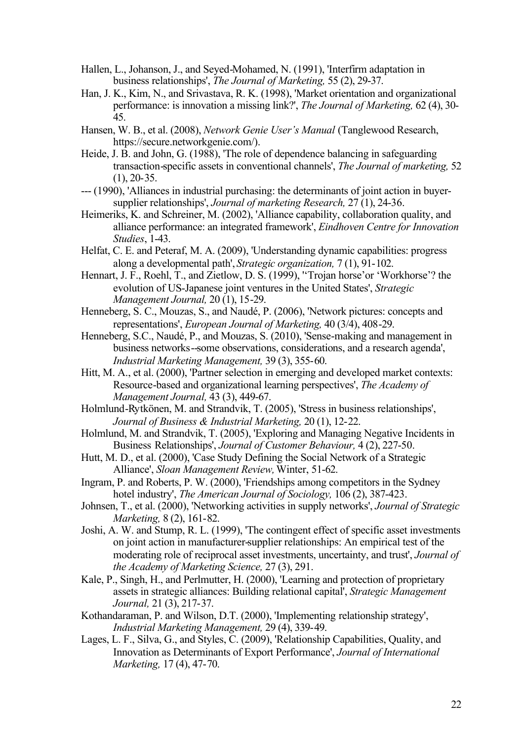- Hallen, L., Johanson, J., and Seyed-Mohamed, N. (1991), 'Interfirm adaptation in business relationships', *The Journal of Marketing,* 55 (2), 29-37.
- Han, J. K., Kim, N., and Srivastava, R. K. (1998), 'Market orientation and organizational performance: is innovation a missing link?', *The Journal of Marketing,* 62 (4), 30- 45.
- Hansen, W. B., et al. (2008), *Network Genie User's Manual* (Tanglewood Research, https://secure.networkgenie.com/).
- Heide, J. B. and John, G. (1988), 'The role of dependence balancing in safeguarding transaction-specific assets in conventional channels', *The Journal of marketing,* 52 (1), 20-35.
- --- (1990), 'Alliances in industrial purchasing: the determinants of joint action in buyersupplier relationships', *Journal of marketing Research,* 27 (1), 24-36.
- Heimeriks, K. and Schreiner, M. (2002), 'Alliance capability, collaboration quality, and alliance performance: an integrated framework', *Eindhoven Centre for Innovation Studies*, 1-43.
- Helfat, C. E. and Peteraf, M. A. (2009), 'Understanding dynamic capabilities: progress along a developmental path', *Strategic organization,* 7 (1), 91-102.
- Hennart, J. F., Roehl, T., and Zietlow, D. S. (1999), ''Trojan horse'or 'Workhorse'? the evolution of US-Japanese joint ventures in the United States', *Strategic Management Journal,* 20 (1), 15-29.
- Henneberg, S. C., Mouzas, S., and Naudé, P. (2006), 'Network pictures: concepts and representations', *European Journal of Marketing,* 40 (3/4), 408-29.
- Henneberg, S.C., Naudé, P., and Mouzas, S. (2010), 'Sense-making and management in business networks--some observations, considerations, and a research agenda', *Industrial Marketing Management,* 39 (3), 355-60.
- Hitt, M. A., et al. (2000), 'Partner selection in emerging and developed market contexts: Resource-based and organizational learning perspectives', *The Academy of Management Journal,* 43 (3), 449-67.
- Holmlund-Rytkönen, M. and Strandvik, T. (2005), 'Stress in business relationships', *Journal of Business & Industrial Marketing,* 20 (1), 12-22.
- Holmlund, M. and Strandvik, T. (2005), 'Exploring and Managing Negative Incidents in Business Relationships', *Journal of Customer Behaviour,* 4 (2), 227-50.
- Hutt, M. D., et al. (2000), 'Case Study Defining the Social Network of a Strategic Alliance', *Sloan Management Review*, Winter, 51-62.
- Ingram, P. and Roberts, P. W. (2000), 'Friendships among competitors in the Sydney hotel industry', *The American Journal of Sociology,* 106 (2), 387-423.
- Johnsen, T., et al. (2000), 'Networking activities in supply networks', *Journal of Strategic Marketing,* 8 (2), 161-82.
- Joshi, A. W. and Stump, R. L. (1999), 'The contingent effect of specific asset investments on joint action in manufacturer-supplier relationships: An empirical test of the moderating role of reciprocal asset investments, uncertainty, and trust', *Journal of the Academy of Marketing Science,* 27 (3), 291.
- Kale, P., Singh, H., and Perlmutter, H. (2000), 'Learning and protection of proprietary assets in strategic alliances: Building relational capital', *Strategic Management Journal,* 21 (3), 217-37.
- Kothandaraman, P. and Wilson, D.T. (2000), 'Implementing relationship strategy', *Industrial Marketing Management,* 29 (4), 339-49.
- Lages, L. F., Silva, G., and Styles, C. (2009), 'Relationship Capabilities, Quality, and Innovation as Determinants of Export Performance', *Journal of International Marketing,* 17 (4), 47-70.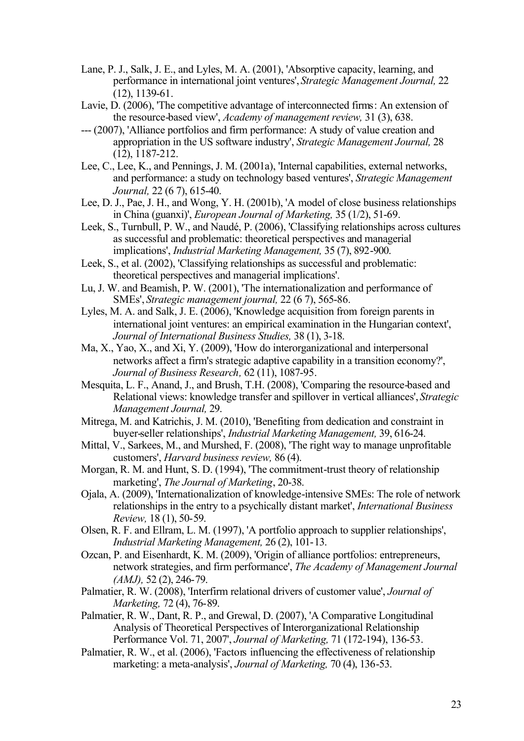- Lane, P. J., Salk, J. E., and Lyles, M. A. (2001), 'Absorptive capacity, learning, and performance in international joint ventures', *Strategic Management Journal,* 22 (12), 1139-61.
- Lavie, D. (2006), 'The competitive advantage of interconnected firms: An extension of the resource-based view', *Academy of management review,* 31 (3), 638.
- --- (2007), 'Alliance portfolios and firm performance: A study of value creation and appropriation in the US software industry', *Strategic Management Journal,* 28 (12), 1187-212.
- Lee, C., Lee, K., and Pennings, J. M. (2001a), 'Internal capabilities, external networks, and performance: a study on technology based ventures', *Strategic Management Journal,* 22 (6 7), 615-40.
- Lee, D. J., Pae, J. H., and Wong, Y. H. (2001b), 'A model of close business relationships in China (guanxi)', *European Journal of Marketing,* 35 (1/2), 51-69.
- Leek, S., Turnbull, P. W., and Naudé, P. (2006), 'Classifying relationships across cultures as successful and problematic: theoretical perspectives and managerial implications', *Industrial Marketing Management,* 35 (7), 892-900.
- Leek, S., et al. (2002), 'Classifying relationships as successful and problematic: theoretical perspectives and managerial implications'.
- Lu, J. W. and Beamish, P. W. (2001), 'The internationalization and performance of SMEs', *Strategic management journal,* 22 (6 7), 565-86.
- Lyles, M. A. and Salk, J. E. (2006), 'Knowledge acquisition from foreign parents in international joint ventures: an empirical examination in the Hungarian context', *Journal of International Business Studies,* 38 (1), 3-18.
- Ma, X., Yao, X., and Xi, Y. (2009), 'How do interorganizational and interpersonal networks affect a firm's strategic adaptive capability in a transition economy?', *Journal of Business Research,* 62 (11), 1087-95.
- Mesquita, L. F., Anand, J., and Brush, T.H. (2008), 'Comparing the resource-based and Relational views: knowledge transfer and spillover in vertical alliances', *Strategic Management Journal,* 29.
- Mitrega, M. and Katrichis, J. M. (2010), 'Benefiting from dedication and constraint in buyer-seller relationships', *Industrial Marketing Management,* 39, 616-24.
- Mittal, V., Sarkees, M., and Murshed, F. (2008), 'The right way to manage unprofitable customers', *Harvard business review,* 86 (4).
- Morgan, R. M. and Hunt, S. D. (1994), 'The commitment-trust theory of relationship marketing', *The Journal of Marketing*, 20-38.
- Ojala, A. (2009), 'Internationalization of knowledge-intensive SMEs: The role of network relationships in the entry to a psychically distant market', *International Business Review,* 18 (1), 50-59.
- Olsen, R. F. and Ellram, L. M. (1997), 'A portfolio approach to supplier relationships', *Industrial Marketing Management,* 26 (2), 101-13.
- Ozcan, P. and Eisenhardt, K. M. (2009), 'Origin of alliance portfolios: entrepreneurs, network strategies, and firm performance', *The Academy of Management Journal (AMJ),* 52 (2), 246-79.
- Palmatier, R. W. (2008), 'Interfirm relational drivers of customer value', *Journal of Marketing,* 72 (4), 76-89.
- Palmatier, R. W., Dant, R. P., and Grewal, D. (2007), 'A Comparative Longitudinal Analysis of Theoretical Perspectives of Interorganizational Relationship Performance Vol. 71, 2007', *Journal of Marketing,* 71 (172-194), 136-53.
- Palmatier, R. W., et al. (2006), 'Factors influencing the effectiveness of relationship marketing: a meta-analysis', *Journal of Marketing,* 70 (4), 136-53.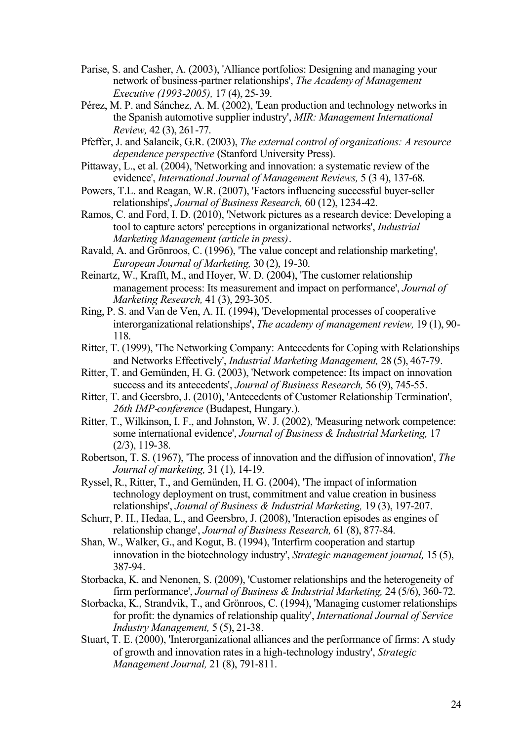- Parise, S. and Casher, A. (2003), 'Alliance portfolios: Designing and managing your network of business-partner relationships', *The Academy of Management Executive (1993-2005),* 17 (4), 25-39.
- Pérez, M. P. and Sánchez, A. M. (2002), 'Lean production and technology networks in the Spanish automotive supplier industry', *MIR: Management International Review,* 42 (3), 261-77.
- Pfeffer, J. and Salancik, G.R. (2003), *The external control of organizations: A resource dependence perspective* (Stanford University Press).
- Pittaway, L., et al. (2004), 'Networking and innovation: a systematic review of the evidence', *International Journal of Management Reviews,* 5 (3 4), 137-68.
- Powers, T.L. and Reagan, W.R. (2007), 'Factors influencing successful buyer-seller relationships', *Journal of Business Research,* 60 (12), 1234-42.
- Ramos, C. and Ford, I. D. (2010), 'Network pictures as a research device: Developing a tool to capture actors' perceptions in organizational networks', *Industrial Marketing Management (article in press)*.
- Ravald, A. and Grönroos, C. (1996), 'The value concept and relationship marketing', *European Journal of Marketing,* 30 (2), 19-30.
- Reinartz, W., Krafft, M., and Hoyer, W. D. (2004), 'The customer relationship management process: Its measurement and impact on performance', *Journal of Marketing Research,* 41 (3), 293-305.
- Ring, P. S. and Van de Ven, A. H. (1994), 'Developmental processes of cooperative interorganizational relationships', *The academy of management review,* 19 (1), 90- 118.
- Ritter, T. (1999), 'The Networking Company: Antecedents for Coping with Relationships and Networks Effectively', *Industrial Marketing Management,* 28 (5), 467-79.
- Ritter, T. and Gemünden, H. G. (2003), 'Network competence: Its impact on innovation success and its antecedents', *Journal of Business Research,* 56 (9), 745-55.
- Ritter, T. and Geersbro, J. (2010), 'Antecedents of Customer Relationship Termination', *26th IMP-conference* (Budapest, Hungary.).
- Ritter, T., Wilkinson, I. F., and Johnston, W. J. (2002), 'Measuring network competence: some international evidence', *Journal of Business & Industrial Marketing,* 17 (2/3), 119-38.
- Robertson, T. S. (1967), 'The process of innovation and the diffusion of innovation', *The Journal of marketing,* 31 (1), 14-19.
- Ryssel, R., Ritter, T., and Gemünden, H. G. (2004), 'The impact of information technology deployment on trust, commitment and value creation in business relationships', *Journal of Business & Industrial Marketing,* 19 (3), 197-207.
- Schurr, P. H., Hedaa, L., and Geersbro, J. (2008), 'Interaction episodes as engines of relationship change', *Journal of Business Research,* 61 (8), 877-84.
- Shan, W., Walker, G., and Kogut, B. (1994), 'Interfirm cooperation and startup innovation in the biotechnology industry', *Strategic management journal,* 15 (5), 387-94.
- Storbacka, K. and Nenonen, S. (2009), 'Customer relationships and the heterogeneity of firm performance', *Journal of Business & Industrial Marketing,* 24 (5/6), 360-72.
- Storbacka, K., Strandvik, T., and Grönroos, C. (1994), 'Managing customer relationships for profit: the dynamics of relationship quality', *International Journal of Service Industry Management,* 5 (5), 21-38.
- Stuart, T. E. (2000), 'Interorganizational alliances and the performance of firms: A study of growth and innovation rates in a high-technology industry', *Strategic Management Journal,* 21 (8), 791-811.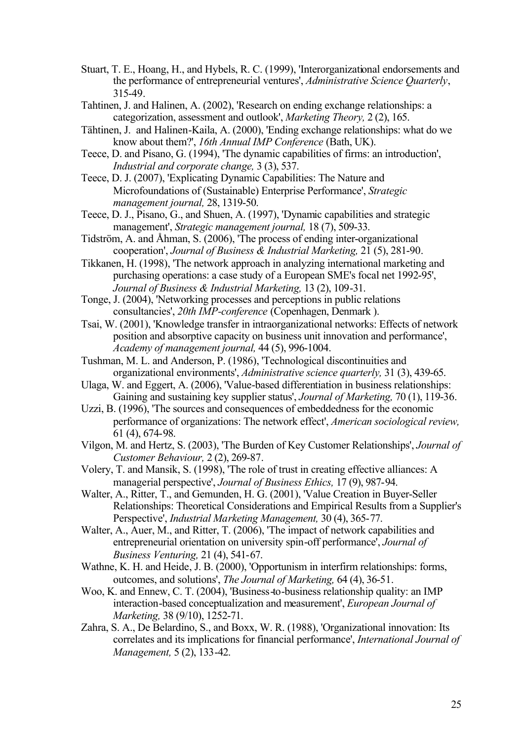- Stuart, T. E., Hoang, H., and Hybels, R. C. (1999), 'Interorganizational endorsements and the performance of entrepreneurial ventures', *Administrative Science Quarterly*, 315-49.
- Tahtinen, J. and Halinen, A. (2002), 'Research on ending exchange relationships: a categorization, assessment and outlook', *Marketing Theory,* 2 (2), 165.
- Tähtinen, J. and Halinen-Kaila, A. (2000), 'Ending exchange relationships: what do we know about them?', *16th Annual IMP Conference* (Bath, UK).
- Teece, D. and Pisano, G. (1994), 'The dynamic capabilities of firms: an introduction', *Industrial and corporate change,* 3 (3), 537.
- Teece, D. J. (2007), 'Explicating Dynamic Capabilities: The Nature and Microfoundations of (Sustainable) Enterprise Performance', *Strategic management journal,* 28, 1319-50.
- Teece, D. J., Pisano, G., and Shuen, A. (1997), 'Dynamic capabilities and strategic management', *Strategic management journal,* 18 (7), 509-33.
- Tidström, A. and Åhman, S. (2006), 'The process of ending inter-organizational cooperation', *Journal of Business & Industrial Marketing,* 21 (5), 281-90.
- Tikkanen, H. (1998), 'The network approach in analyzing international marketing and purchasing operations: a case study of a European SME's focal net 1992-95', *Journal of Business & Industrial Marketing,* 13 (2), 109-31.
- Tonge, J. (2004), 'Networking processes and perceptions in public relations consultancies', *20th IMP-conference* (Copenhagen, Denmark ).
- Tsai, W. (2001), 'Knowledge transfer in intraorganizational networks: Effects of network position and absorptive capacity on business unit innovation and performance', *Academy of management journal,* 44 (5), 996-1004.
- Tushman, M. L. and Anderson, P. (1986), 'Technological discontinuities and organizational environments', *Administrative science quarterly,* 31 (3), 439-65.
- Ulaga, W. and Eggert, A. (2006), 'Value-based differentiation in business relationships: Gaining and sustaining key supplier status', *Journal of Marketing,* 70 (1), 119-36.
- Uzzi, B. (1996), 'The sources and consequences of embeddedness for the economic performance of organizations: The network effect', *American sociological review,* 61 (4), 674-98.
- Vilgon, M. and Hertz, S. (2003), 'The Burden of Key Customer Relationships', *Journal of Customer Behaviour,* 2 (2), 269-87.
- Volery, T. and Mansik, S. (1998), 'The role of trust in creating effective alliances: A managerial perspective', *Journal of Business Ethics,* 17 (9), 987-94.
- Walter, A., Ritter, T., and Gemunden, H. G. (2001), 'Value Creation in Buyer-Seller Relationships: Theoretical Considerations and Empirical Results from a Supplier's Perspective', *Industrial Marketing Management,* 30 (4), 365-77.
- Walter, A., Auer, M., and Ritter, T. (2006), 'The impact of network capabilities and entrepreneurial orientation on university spin-off performance', *Journal of Business Venturing,* 21 (4), 541-67.
- Wathne, K. H. and Heide, J. B. (2000), 'Opportunism in interfirm relationships: forms, outcomes, and solutions', *The Journal of Marketing,* 64 (4), 36-51.
- Woo, K. and Ennew, C. T. (2004), 'Business-to-business relationship quality: an IMP interaction-based conceptualization and measurement', *European Journal of Marketing,* 38 (9/10), 1252-71.
- Zahra, S. A., De Belardino, S., and Boxx, W. R. (1988), 'Organizational innovation: Its correlates and its implications for financial performance', *International Journal of Management,* 5 (2), 133-42.